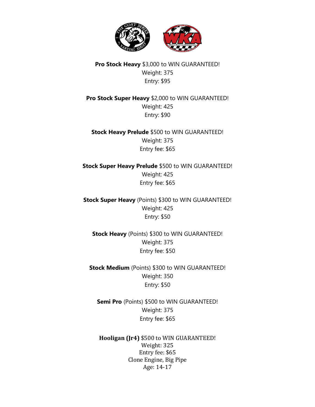

## **Pro Stock Heavy** \$3,000 to WIN GUARANTEED! Weight: 375 Entry: \$95

**Pro Stock Super Heavy** \$2,000 to WIN GUARANTEED! Weight: 425 Entry: \$90

**Stock Heavy Prelude** \$500 to WIN GUARANTEED! Weight: 375 Entry fee: \$65

**Stock Super Heavy Prelude** \$500 to WIN GUARANTEED! Weight: 425 Entry fee: \$65

**Stock Super Heavy** (Points) \$300 to WIN GUARANTEED! Weight: 425 Entry: \$50

**Stock Heavy** (Points) \$300 to WIN GUARANTEED! Weight: 375 Entry fee: \$50

**Stock Medium** (Points) \$300 to WIN GUARANTEED! Weight: 350 Entry: \$50

**Semi Pro** (Points) \$500 to WIN GUARANTEED! Weight: 375 Entry fee: \$65

**Hooligan (Jr4)** \$500 to WIN GUARANTEED! Weight: 325 Entry fee: \$65 Clone Engine, Big Pipe Age: 14-17